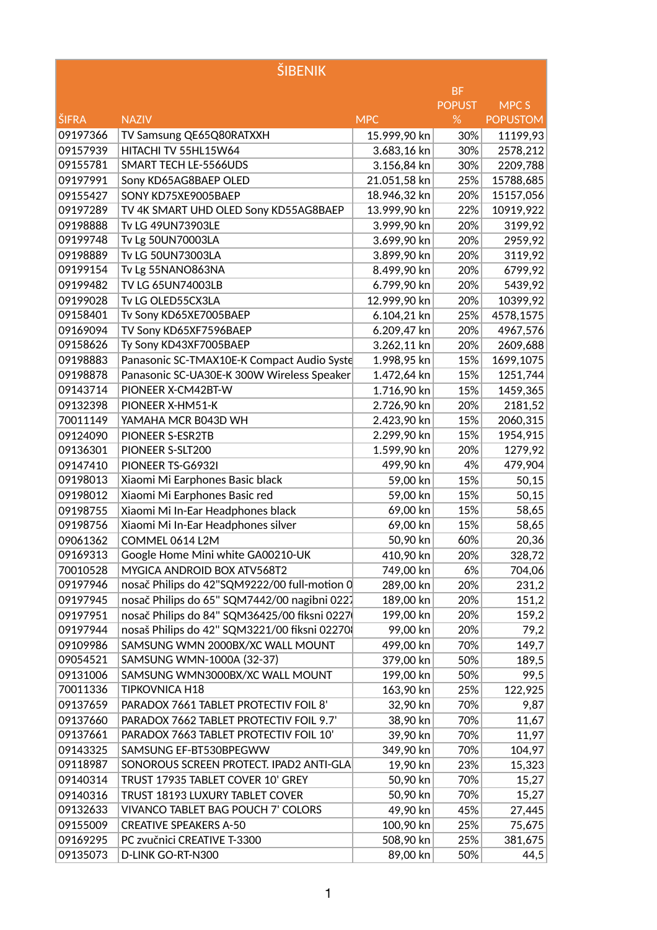| <b>ŠIBENIK</b> |                                              |              |               |                  |
|----------------|----------------------------------------------|--------------|---------------|------------------|
|                |                                              |              | <b>BF</b>     |                  |
|                |                                              |              | <b>POPUST</b> | MPC <sub>S</sub> |
| ŠIFRA          | <b>NAZIV</b>                                 | <b>MPC</b>   | %             | <b>POPUSTOM</b>  |
| 09197366       | TV Samsung QE65Q80RATXXH                     | 15.999,90 kn | 30%           | 11199,93         |
| 09157939       | HITACHI TV 55HL15W64                         | 3.683,16 kn  | 30%           | 2578,212         |
| 09155781       | SMART TECH LE-5566UDS                        | 3.156,84 kn  | 30%           | 2209,788         |
| 09197991       | Sony KD65AG8BAEP OLED                        | 21.051,58 kn | 25%           | 15788,685        |
| 09155427       | SONY KD75XE9005BAEP                          | 18.946,32 kn | 20%           | 15157,056        |
| 09197289       | TV 4K SMART UHD OLED Sony KD55AG8BAEP        | 13.999,90 kn | 22%           | 10919,922        |
| 09198888       | Tv LG 49UN73903LE                            | 3.999,90 kn  | 20%           | 3199,92          |
| 09199748       | Tv Lg 50UN70003LA                            | 3.699,90 kn  | 20%           | 2959,92          |
| 09198889       | Tv LG 50UN73003LA                            | 3.899,90 kn  | 20%           | 3119,92          |
| 09199154       | Tv Lg 55NANO863NA                            | 8.499,90 kn  | 20%           | 6799,92          |
| 09199482       | <b>TV LG 65UN74003LB</b>                     | 6.799,90 kn  | 20%           | 5439,92          |
| 09199028       | Tv LG OLED55CX3LA                            | 12.999,90 kn | 20%           | 10399,92         |
| 09158401       | Tv Sony KD65XE7005BAEP                       | 6.104,21 kn  | 25%           | 4578,1575        |
| 09169094       | TV Sony KD65XF7596BAEP                       | 6.209,47 kn  | 20%           | 4967,576         |
| 09158626       | Ty Sony KD43XF7005BAEP                       | 3.262,11 kn  | 20%           | 2609,688         |
| 09198883       | Panasonic SC-TMAX10E-K Compact Audio Syste   | 1.998,95 kn  | 15%           | 1699,1075        |
| 09198878       | Panasonic SC-UA30E-K 300W Wireless Speaker   | 1.472,64 kn  | 15%           | 1251,744         |
| 09143714       | PIONEER X-CM42BT-W                           | 1.716,90 kn  | 15%           | 1459,365         |
| 09132398       | PIONEER X-HM51-K                             | 2.726,90 kn  | 20%           | 2181,52          |
| 70011149       | YAMAHA MCR B043D WH                          | 2.423,90 kn  | 15%           | 2060,315         |
| 09124090       | PIONEER S-ESR2TB                             | 2.299,90 kn  | 15%           | 1954,915         |
| 09136301       | PIONEER S-SLT200                             | 1.599,90 kn  | 20%           | 1279,92          |
| 09147410       | PIONEER TS-G6932I                            | 499,90 kn    | 4%            | 479,904          |
| 09198013       | Xiaomi Mi Earphones Basic black              | 59,00 kn     | 15%           | 50,15            |
| 09198012       | Xiaomi Mi Earphones Basic red                | 59,00 kn     | 15%           | 50,15            |
| 09198755       | Xiaomi Mi In-Ear Headphones black            | 69,00 kn     | 15%           | 58,65            |
| 09198756       | Xiaomi Mi In-Ear Headphones silver           | 69,00 kn     | 15%           | 58,65            |
| 09061362       | COMMEL 0614 L2M                              | 50,90 kn     | 60%           | 20,36            |
| 09169313       | Google Home Mini white GA00210-UK            | 410,90 kn    | 20%           | 328,72           |
| 70010528       | MYGICA ANDROID BOX ATV568T2                  | 749,00 kn    | 6%            | 704,06           |
| 09197946       | nosač Philips do 42"SQM9222/00 full-motion 0 | 289,00 kn    | 20%           | 231,2            |
| 09197945       | nosač Philips do 65" SQM7442/00 nagibni 0227 | 189,00 kn    | 20%           | 151,2            |
| 09197951       | nosač Philips do 84" SQM36425/00 fiksni 0227 | 199,00 kn    | 20%           | 159,2            |
| 09197944       | nosaš Philips do 42" SQM3221/00 fiksni 02270 | 99,00 kn     | 20%           | 79,2             |
| 09109986       | SAMSUNG WMN 2000BX/XC WALL MOUNT             | 499,00 kn    | 70%           | 149,7            |
| 09054521       | SAMSUNG WMN-1000A (32-37)                    | 379,00 kn    | 50%           | 189,5            |
| 09131006       | SAMSUNG WMN3000BX/XC WALL MOUNT              | 199,00 kn    | 50%           | 99,5             |
| 70011336       | <b>TIPKOVNICA H18</b>                        | 163,90 kn    | 25%           | 122,925          |
| 09137659       | PARADOX 7661 TABLET PROTECTIV FOIL 8'        | 32,90 kn     | 70%           | 9,87             |
| 09137660       | PARADOX 7662 TABLET PROTECTIV FOIL 9.7'      | 38,90 kn     | 70%           | 11,67            |
| 09137661       | PARADOX 7663 TABLET PROTECTIV FOIL 10'       | 39,90 kn     | 70%           | 11,97            |
| 09143325       | SAMSUNG EF-BT530BPEGWW                       | 349,90 kn    | 70%           | 104,97           |
| 09118987       | SONOROUS SCREEN PROTECT. IPAD2 ANTI-GLA      | 19,90 kn     | 23%           | 15,323           |
| 09140314       | TRUST 17935 TABLET COVER 10' GREY            | 50,90 kn     | 70%           | 15,27            |
| 09140316       | TRUST 18193 LUXURY TABLET COVER              | 50,90 kn     | 70%           | 15,27            |
| 09132633       | VIVANCO TABLET BAG POUCH 7' COLORS           | 49,90 kn     | 45%           | 27,445           |
| 09155009       | <b>CREATIVE SPEAKERS A-50</b>                | 100,90 kn    | 25%           | 75,675           |
| 09169295       | PC zvučnici CREATIVE T-3300                  | 508,90 kn    | 25%           | 381,675          |
| 09135073       | D-LINK GO-RT-N300                            | 89,00 kn     | 50%           | 44,5             |
|                |                                              |              |               |                  |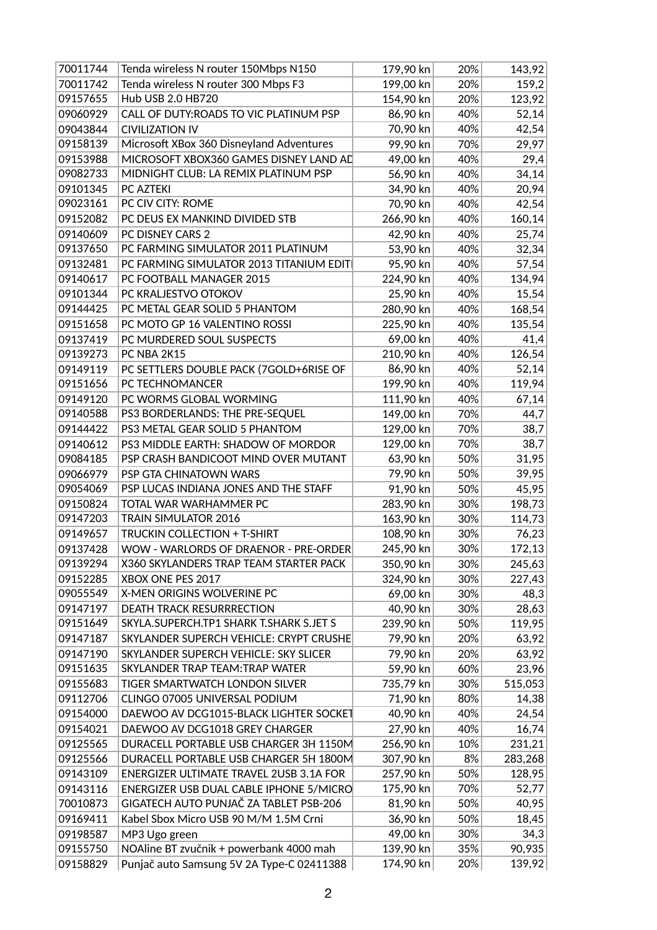| 70011744 | Tenda wireless N router 150Mbps N150           | 179,90 kn | 20% | 143,92  |
|----------|------------------------------------------------|-----------|-----|---------|
| 70011742 | Tenda wireless N router 300 Mbps F3            | 199,00 kn | 20% | 159,2   |
| 09157655 | Hub USB 2.0 HB720                              | 154,90 kn | 20% | 123,92  |
| 09060929 | CALL OF DUTY: ROADS TO VIC PLATINUM PSP        | 86,90 kn  | 40% | 52,14   |
| 09043844 | <b>CIVILIZATION IV</b>                         | 70,90 kn  | 40% | 42,54   |
| 09158139 | Microsoft XBox 360 Disneyland Adventures       | 99,90 kn  | 70% | 29,97   |
| 09153988 | MICROSOFT XBOX360 GAMES DISNEY LAND AD         | 49,00 kn  | 40% | 29,4    |
| 09082733 | MIDNIGHT CLUB: LA REMIX PLATINUM PSP           | 56,90 kn  | 40% | 34,14   |
| 09101345 | PC AZTEKI                                      | 34,90 kn  | 40% | 20,94   |
| 09023161 | PC CIV CITY: ROME                              | 70,90 kn  | 40% | 42,54   |
| 09152082 | PC DEUS EX MANKIND DIVIDED STB                 | 266,90 kn | 40% | 160, 14 |
| 09140609 | PC DISNEY CARS 2                               | 42,90 kn  | 40% | 25,74   |
| 09137650 | PC FARMING SIMULATOR 2011 PLATINUM             | 53,90 kn  | 40% | 32,34   |
| 09132481 | PC FARMING SIMULATOR 2013 TITANIUM EDIT        | 95,90 kn  | 40% | 57,54   |
| 09140617 | PC FOOTBALL MANAGER 2015                       | 224,90 kn | 40% | 134,94  |
| 09101344 | PC KRALJESTVO OTOKOV                           | 25,90 kn  | 40% | 15,54   |
| 09144425 | PC METAL GEAR SOLID 5 PHANTOM                  | 280,90 kn | 40% | 168,54  |
| 09151658 | PC MOTO GP 16 VALENTINO ROSSI                  | 225,90 kn | 40% | 135,54  |
| 09137419 | PC MURDERED SOUL SUSPECTS                      | 69,00 kn  | 40% | 41,4    |
| 09139273 | PC NBA 2K15                                    | 210,90 kn | 40% | 126,54  |
| 09149119 | PC SETTLERS DOUBLE PACK (7GOLD+6RISE OF        | 86,90 kn  | 40% | 52,14   |
| 09151656 | PC TECHNOMANCER                                | 199,90 kn | 40% | 119,94  |
| 09149120 | PC WORMS GLOBAL WORMING                        | 111,90 kn | 40% | 67,14   |
| 09140588 | PS3 BORDERLANDS: THE PRE-SEQUEL                | 149,00 kn | 70% | 44,7    |
| 09144422 | PS3 METAL GEAR SOLID 5 PHANTOM                 | 129,00 kn | 70% | 38,7    |
| 09140612 | PS3 MIDDLE EARTH: SHADOW OF MORDOR             | 129,00 kn | 70% | 38,7    |
| 09084185 | PSP CRASH BANDICOOT MIND OVER MUTANT           | 63,90 kn  | 50% | 31,95   |
| 09066979 | PSP GTA CHINATOWN WARS                         | 79,90 kn  | 50% | 39,95   |
| 09054069 | PSP LUCAS INDIANA JONES AND THE STAFF          | 91,90 kn  | 50% | 45,95   |
| 09150824 | TOTAL WAR WARHAMMER PC                         | 283,90 kn | 30% | 198,73  |
| 09147203 | <b>TRAIN SIMULATOR 2016</b>                    | 163,90 kn | 30% | 114,73  |
| 09149657 | <b>TRUCKIN COLLECTION + T-SHIRT</b>            | 108,90 kn | 30% | 76,23   |
| 09137428 | WOW - WARLORDS OF DRAENOR - PRE-ORDER          | 245,90 kn | 30% | 172, 13 |
| 09139294 | X360 SKYLANDERS TRAP TEAM STARTER PACK         | 350,90 kn | 30% | 245,63  |
| 09152285 | XBOX ONE PES 2017                              | 324,90 kn | 30% | 227,43  |
| 09055549 | X-MEN ORIGINS WOLVERINE PC                     | 69,00 kn  | 30% | 48,3    |
| 09147197 | <b>DEATH TRACK RESURRRECTION</b>               | 40,90 kn  | 30% | 28,63   |
| 09151649 | SKYLA.SUPERCH.TP1 SHARK T.SHARK S.JET S        | 239,90 kn | 50% | 119,95  |
| 09147187 | SKYLANDER SUPERCH VEHICLE: CRYPT CRUSHE        | 79,90 kn  | 20% | 63,92   |
| 09147190 | SKYLANDER SUPERCH VEHICLE: SKY SLICER          | 79,90 kn  | 20% | 63,92   |
| 09151635 | SKYLANDER TRAP TEAM: TRAP WATER                | 59,90 kn  | 60% | 23,96   |
| 09155683 | TIGER SMARTWATCH LONDON SILVER                 | 735,79 kn | 30% | 515,053 |
| 09112706 | CLINGO 07005 UNIVERSAL PODIUM                  | 71,90 kn  | 80% | 14,38   |
| 09154000 | DAEWOO AV DCG1015-BLACK LIGHTER SOCKET         | 40,90 kn  | 40% | 24,54   |
| 09154021 | DAEWOO AV DCG1018 GREY CHARGER                 | 27,90 kn  | 40% | 16,74   |
| 09125565 | DURACELL PORTABLE USB CHARGER 3H 1150M         | 256,90 kn | 10% | 231,21  |
| 09125566 | DURACELL PORTABLE USB CHARGER 5H 1800M         | 307,90 kn | 8%  | 283,268 |
| 09143109 | ENERGIZER ULTIMATE TRAVEL 2USB 3.1A FOR        | 257,90 kn | 50% | 128,95  |
| 09143116 | <b>ENERGIZER USB DUAL CABLE IPHONE 5/MICRO</b> | 175,90 kn | 70% | 52,77   |
| 70010873 | GIGATECH AUTO PUNJAČ ZA TABLET PSB-206         | 81,90 kn  | 50% | 40,95   |
| 09169411 | Kabel Sbox Micro USB 90 M/M 1.5M Crni          | 36,90 kn  | 50% | 18,45   |
| 09198587 | MP3 Ugo green                                  | 49,00 kn  | 30% | 34,3    |
| 09155750 | NOAline BT zvučnik + powerbank 4000 mah        | 139,90 kn | 35% | 90,935  |
| 09158829 | Punjač auto Samsung 5V 2A Type-C 02411388      | 174,90 kn | 20% | 139,92  |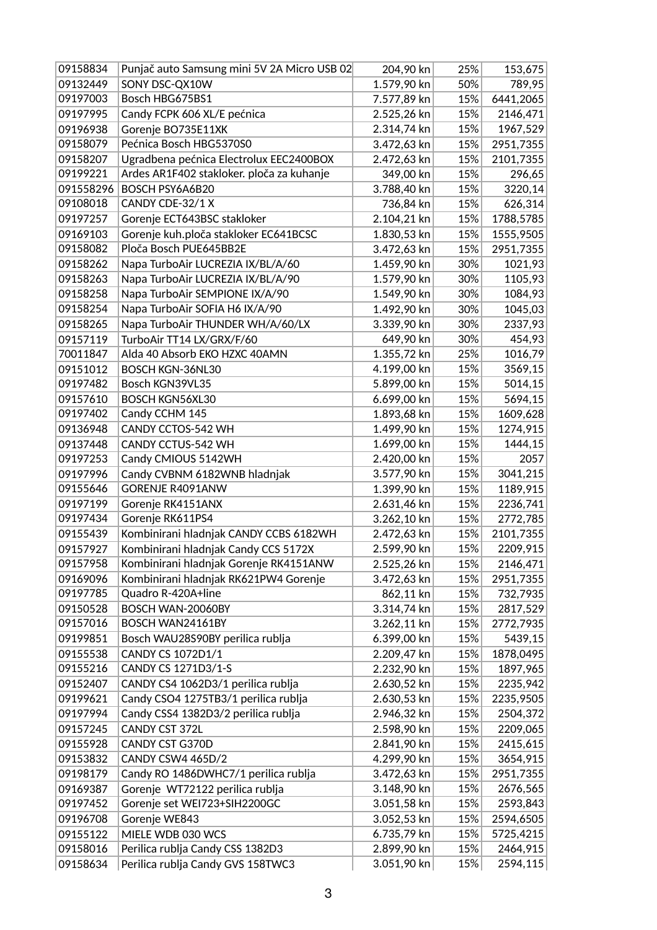| 09158834  | Punjač auto Samsung mini 5V 2A Micro USB 02 | 204,90 kn   | 25% | 153,675   |
|-----------|---------------------------------------------|-------------|-----|-----------|
| 09132449  | SONY DSC-QX10W                              | 1.579,90 kn | 50% | 789,95    |
| 09197003  | Bosch HBG675BS1                             | 7.577,89 kn | 15% | 6441,2065 |
| 09197995  | Candy FCPK 606 XL/E pećnica                 | 2.525,26 kn | 15% | 2146,471  |
| 09196938  | Gorenje BO735E11XK                          | 2.314,74 kn | 15% | 1967,529  |
| 09158079  | Pećnica Bosch HBG5370S0                     | 3.472,63 kn | 15% | 2951,7355 |
| 09158207  | Ugradbena pećnica Electrolux EEC2400BOX     | 2.472,63 kn | 15% | 2101,7355 |
| 09199221  | Ardes AR1F402 stakloker. ploča za kuhanje   | 349,00 kn   | 15% | 296,65    |
| 091558296 | BOSCH PSY6A6B20                             | 3.788,40 kn | 15% | 3220,14   |
| 09108018  | CANDY CDE-32/1 X                            | 736,84 kn   | 15% | 626,314   |
| 09197257  | Gorenje ECT643BSC stakloker                 | 2.104,21 kn | 15% | 1788,5785 |
| 09169103  | Gorenje kuh.ploča stakloker EC641BCSC       | 1.830,53 kn | 15% | 1555,9505 |
| 09158082  | Ploča Bosch PUE645BB2E                      | 3.472,63 kn | 15% | 2951,7355 |
| 09158262  | Napa TurboAir LUCREZIA IX/BL/A/60           | 1.459,90 kn | 30% | 1021,93   |
| 09158263  | Napa TurboAir LUCREZIA IX/BL/A/90           | 1.579,90 kn | 30% | 1105,93   |
| 09158258  | Napa TurboAir SEMPIONE IX/A/90              | 1.549,90 kn | 30% | 1084,93   |
| 09158254  | Napa TurboAir SOFIA H6 IX/A/90              | 1.492,90 kn | 30% | 1045,03   |
| 09158265  | Napa TurboAir THUNDER WH/A/60/LX            | 3.339,90 kn | 30% | 2337,93   |
| 09157119  | TurboAir TT14 LX/GRX/F/60                   | 649,90 kn   | 30% | 454,93    |
| 70011847  | Alda 40 Absorb EKO HZXC 40AMN               | 1.355,72 kn | 25% | 1016,79   |
| 09151012  | <b>BOSCH KGN-36NL30</b>                     | 4.199,00 kn | 15% | 3569,15   |
| 09197482  | Bosch KGN39VL35                             | 5.899,00 kn | 15% | 5014, 15  |
| 09157610  | <b>BOSCH KGN56XL30</b>                      | 6.699,00 kn | 15% | 5694,15   |
| 09197402  | Candy CCHM 145                              | 1.893,68 kn | 15% | 1609,628  |
| 09136948  | CANDY CCTOS-542 WH                          | 1.499,90 kn | 15% | 1274,915  |
| 09137448  | CANDY CCTUS-542 WH                          | 1.699,00 kn | 15% | 1444, 15  |
| 09197253  | Candy CMIOUS 5142WH                         | 2.420,00 kn | 15% | 2057      |
| 09197996  | Candy CVBNM 6182WNB hladnjak                | 3.577,90 kn | 15% | 3041,215  |
| 09155646  | GORENJE R4091ANW                            | 1.399,90 kn | 15% | 1189,915  |
| 09197199  | Gorenje RK4151ANX                           | 2.631,46 kn | 15% | 2236,741  |
| 09197434  | Gorenje RK611PS4                            | 3.262,10 kn | 15% | 2772,785  |
| 09155439  | Kombinirani hladnjak CANDY CCBS 6182WH      | 2.472,63 kn | 15% | 2101,7355 |
| 09157927  | Kombinirani hladnjak Candy CCS 5172X        | 2.599,90 kn | 15% | 2209,915  |
| 09157958  | Kombinirani hladnjak Gorenje RK4151ANW      | 2.525,26 kn | 15% | 2146,471  |
| 09169096  | Kombinirani hladnjak RK621PW4 Gorenje       | 3.472,63 kn | 15% | 2951,7355 |
| 09197785  | Quadro R-420A+line                          | 862,11 kn   | 15% | 732,7935  |
| 09150528  | BOSCH WAN-20060BY                           | 3.314,74 kn | 15% | 2817,529  |
| 09157016  | BOSCH WAN24161BY                            | 3.262,11 kn | 15% | 2772,7935 |
| 09199851  | Bosch WAU28S90BY perilica rublja            | 6.399,00 kn | 15% | 5439,15   |
| 09155538  | CANDY CS 1072D1/1                           | 2.209,47 kn | 15% | 1878,0495 |
| 09155216  | CANDY CS 1271D3/1-S                         | 2.232,90 kn | 15% | 1897,965  |
| 09152407  | CANDY CS4 1062D3/1 perilica rublja          | 2.630,52 kn | 15% | 2235,942  |
| 09199621  | Candy CSO4 1275TB3/1 perilica rublja        | 2.630,53 kn | 15% | 2235,9505 |
| 09197994  | Candy CSS4 1382D3/2 perilica rublja         | 2.946,32 kn | 15% | 2504,372  |
| 09157245  | CANDY CST 372L                              | 2.598,90 kn | 15% | 2209,065  |
| 09155928  | CANDY CST G370D                             | 2.841,90 kn | 15% | 2415,615  |
| 09153832  | CANDY CSW4 465D/2                           | 4.299,90 kn | 15% | 3654,915  |
| 09198179  | Candy RO 1486DWHC7/1 perilica rublja        | 3.472,63 kn | 15% | 2951,7355 |
| 09169387  | Gorenje WT72122 perilica rublja             | 3.148,90 kn | 15% | 2676,565  |
| 09197452  | Gorenje set WEI723+SIH2200GC                | 3.051,58 kn | 15% | 2593,843  |
| 09196708  | Gorenje WE843                               | 3.052,53 kn | 15% | 2594,6505 |
| 09155122  | MIELE WDB 030 WCS                           | 6.735,79 kn | 15% | 5725,4215 |
| 09158016  | Perilica rublja Candy CSS 1382D3            | 2.899,90 kn | 15% | 2464,915  |
| 09158634  | Perilica rublja Candy GVS 158TWC3           | 3.051,90 kn | 15% | 2594,115  |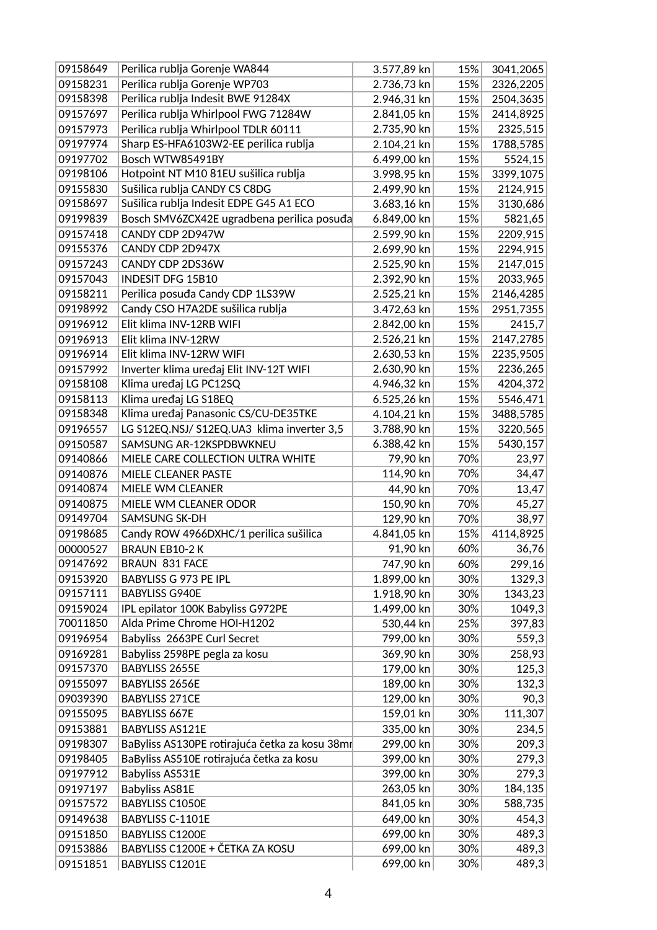| 09158649             | Perilica rublja Gorenje WA844                             | 3.577,89 kn            | 15% | 3041,2065 |
|----------------------|-----------------------------------------------------------|------------------------|-----|-----------|
| 09158231             | Perilica rublja Gorenje WP703                             | 2.736,73 kn            | 15% | 2326,2205 |
| 09158398             | Perilica rublja Indesit BWE 91284X                        | 2.946,31 kn            | 15% | 2504,3635 |
| 09157697             | Perilica rublja Whirlpool FWG 71284W                      | 2.841,05 kn            | 15% | 2414,8925 |
| 09157973             | Perilica rublja Whirlpool TDLR 60111                      | 2.735,90 kn            | 15% | 2325,515  |
| 09197974             | Sharp ES-HFA6103W2-EE perilica rublja                     | 2.104,21 kn            | 15% | 1788,5785 |
| 09197702             | Bosch WTW85491BY                                          | 6.499,00 kn            | 15% | 5524,15   |
| 09198106             | Hotpoint NT M10 81EU sušilica rublja                      | 3.998,95 kn            | 15% | 3399,1075 |
| 09155830             | Sušilica rublja CANDY CS C8DG                             | 2.499,90 kn            | 15% | 2124,915  |
| 09158697             | Sušilica rublja Indesit EDPE G45 A1 ECO                   | 3.683,16 kn            | 15% | 3130,686  |
| 09199839             | Bosch SMV6ZCX42E ugradbena perilica posuđa                | 6.849,00 kn            | 15% | 5821,65   |
| 09157418             | CANDY CDP 2D947W                                          | 2.599,90 kn            | 15% | 2209,915  |
| 09155376             | CANDY CDP 2D947X                                          | 2.699,90 kn            | 15% | 2294,915  |
| 09157243             | CANDY CDP 2DS36W                                          | 2.525,90 kn            | 15% | 2147,015  |
| 09157043             | <b>INDESIT DFG 15B10</b>                                  | 2.392,90 kn            | 15% | 2033,965  |
| 09158211             | Perilica posuđa Candy CDP 1LS39W                          | 2.525,21 kn            | 15% | 2146,4285 |
| 09198992             | Candy CSO H7A2DE sušilica rublja                          | 3.472,63 kn            | 15% |           |
| 09196912             | Elit klima INV-12RB WIFI                                  |                        | 15% | 2951,7355 |
|                      |                                                           | 2.842,00 kn            |     | 2415,7    |
| 09196913             | Elit klima INV-12RW                                       | 2.526,21 kn            | 15% | 2147,2785 |
| 09196914             | Elit klima INV-12RW WIFI                                  | 2.630,53 kn            | 15% | 2235,9505 |
| 09157992             | Inverter klima uređaj Elit INV-12T WIFI                   | 2.630,90 kn            | 15% | 2236,265  |
| 09158108             | Klima uređaj LG PC12SQ                                    | 4.946,32 kn            | 15% | 4204,372  |
| 09158113             | Klima uređaj LG S18EQ                                     | 6.525,26 kn            | 15% | 5546,471  |
| 09158348             | Klima uređaj Panasonic CS/CU-DE35TKE                      | 4.104,21 kn            | 15% | 3488,5785 |
| 09196557             | LG S12EQ.NSJ/ S12EQ.UA3 klima inverter 3,5                | 3.788,90 kn            | 15% | 3220,565  |
| 09150587             | SAMSUNG AR-12KSPDBWKNEU                                   | 6.388,42 kn            | 15% | 5430,157  |
| 09140866             | MIELE CARE COLLECTION ULTRA WHITE                         | 79,90 kn               | 70% | 23,97     |
| 09140876             | MIELE CLEANER PASTE                                       | 114,90 kn              | 70% | 34,47     |
| 09140874             | MIELE WM CLEANER                                          | 44,90 kn               | 70% | 13,47     |
| 09140875             | MIELE WM CLEANER ODOR                                     | 150,90 kn              | 70% | 45,27     |
| 09149704             | SAMSUNG SK-DH                                             | 129,90 kn              | 70% | 38,97     |
| 09198685             | Candy ROW 4966DXHC/1 perilica sušilica                    | 4.841,05 kn            | 15% | 4114,8925 |
| 00000527             | <b>BRAUN EB10-2 K</b>                                     | 91,90 kn               | 60% | 36,76     |
| 09147692             | BRAUN 831 FACE                                            | 747,90 kn              | 60% | 299,16    |
| 09153920             | BABYLISS G 973 PE IPL                                     | 1.899,00 kn            | 30% | 1329,3    |
| 09157111             | <b>BABYLISS G940E</b>                                     | 1.918,90 kn            | 30% | 1343,23   |
| 09159024             | IPL epilator 100K Babyliss G972PE                         | 1.499,00 kn            | 30% | 1049,3    |
| 70011850             | Alda Prime Chrome HOI-H1202                               | 530,44 kn              | 25% | 397,83    |
| 09196954             | Babyliss 2663PE Curl Secret                               | 799,00 kn              | 30% | 559,3     |
| 09169281             | Babyliss 2598PE pegla za kosu                             | 369,90 kn              | 30% | 258,93    |
| 09157370             | BABYLISS 2655E                                            | 179,00 kn              | 30% | 125,3     |
| 09155097             | BABYLISS 2656E                                            | 189,00 kn              | 30% | 132,3     |
| 09039390             | <b>BABYLISS 271CE</b>                                     | 129,00 kn              | 30% | 90,3      |
| 09155095             | <b>BABYLISS 667E</b>                                      | 159,01 kn              | 30% | 111,307   |
| 09153881             | <b>BABYLISS AS121E</b>                                    | 335,00 kn              | 30% | 234,5     |
| 09198307             | BaByliss AS130PE rotirajuća četka za kosu 38mr            | 299,00 kn              | 30% | 209,3     |
| 09198405             | BaByliss AS510E rotirajuća četka za kosu                  | 399,00 kn              | 30% | 279,3     |
| 09197912             | Babyliss AS531E                                           | 399,00 kn              | 30% | 279,3     |
| 09197197             | Babyliss AS81E                                            | 263,05 kn              | 30% | 184,135   |
|                      | <b>BABYLISS C1050E</b>                                    |                        |     |           |
| 09157572             |                                                           | 841,05 kn              | 30% | 588,735   |
| 09149638             | <b>BABYLISS C-1101E</b>                                   | 649,00 kn<br>699,00 kn | 30% | 454,3     |
|                      |                                                           |                        | 30% | 489,3     |
| 09151850<br>09153886 | <b>BABYLISS C1200E</b><br>BABYLISS C1200E + ČETKA ZA KOSU | 699,00 kn              | 30% | 489,3     |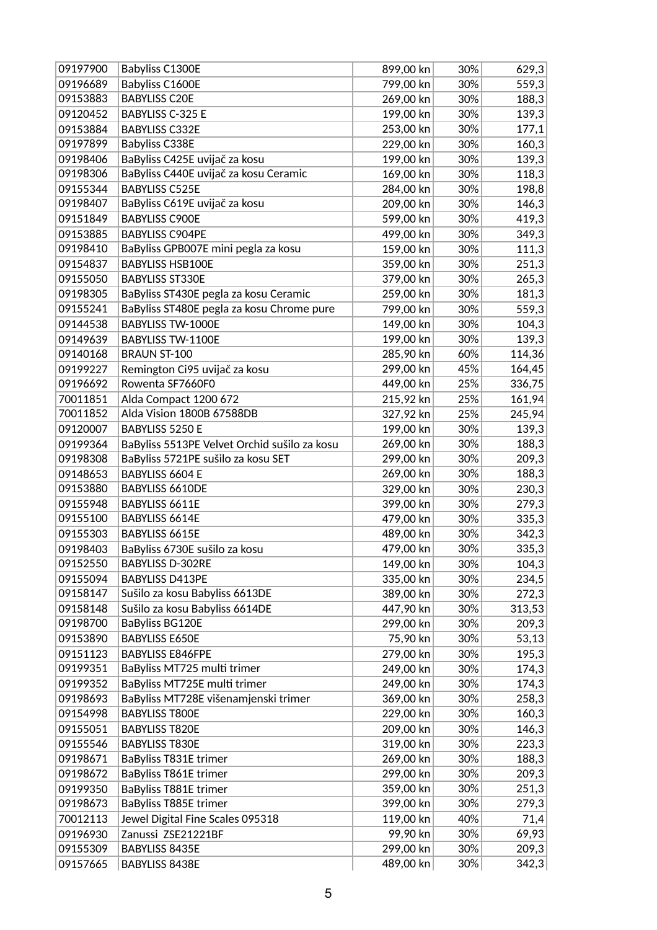| 09197900 | Babyliss C1300E                              | 899,00 kn | 30% | 629,3  |
|----------|----------------------------------------------|-----------|-----|--------|
| 09196689 | Babyliss C1600E                              | 799,00 kn | 30% | 559,3  |
| 09153883 | <b>BABYLISS C20E</b>                         | 269,00 kn | 30% | 188,3  |
| 09120452 | BABYLISS C-325 E                             | 199,00 kn | 30% | 139,3  |
| 09153884 | <b>BABYLISS C332E</b>                        | 253,00 kn | 30% | 177,1  |
| 09197899 | Babyliss C338E                               | 229,00 kn | 30% | 160,3  |
| 09198406 | BaByliss C425E uvijač za kosu                | 199,00 kn | 30% | 139,3  |
| 09198306 | BaByliss C440E uvijač za kosu Ceramic        | 169,00 kn | 30% | 118,3  |
| 09155344 | <b>BABYLISS C525E</b>                        | 284,00 kn | 30% | 198,8  |
| 09198407 | BaByliss C619E uvijač za kosu                | 209,00 kn | 30% | 146,3  |
| 09151849 | <b>BABYLISS C900E</b>                        | 599,00 kn | 30% | 419,3  |
| 09153885 | <b>BABYLISS C904PE</b>                       | 499,00 kn | 30% | 349,3  |
| 09198410 | BaByliss GPB007E mini pegla za kosu          | 159,00 kn | 30% | 111,3  |
| 09154837 | <b>BABYLISS HSB100E</b>                      | 359,00 kn | 30% | 251,3  |
| 09155050 | <b>BABYLISS ST330E</b>                       | 379,00 kn | 30% | 265,3  |
| 09198305 | BaByliss ST430E pegla za kosu Ceramic        | 259,00 kn | 30% | 181,3  |
| 09155241 | BaByliss ST480E pegla za kosu Chrome pure    | 799,00 kn | 30% | 559,3  |
| 09144538 | <b>BABYLISS TW-1000E</b>                     | 149,00 kn | 30% | 104,3  |
| 09149639 | <b>BABYLISS TW-1100E</b>                     | 199,00 kn | 30% | 139,3  |
| 09140168 | <b>BRAUN ST-100</b>                          | 285,90 kn | 60% | 114,36 |
| 09199227 | Remington Ci95 uvijač za kosu                | 299,00 kn | 45% | 164,45 |
| 09196692 | Rowenta SF7660F0                             | 449,00 kn | 25% | 336,75 |
| 70011851 | Alda Compact 1200 672                        | 215,92 kn | 25% | 161,94 |
| 70011852 | Alda Vision 1800B 67588DB                    | 327,92 kn | 25% | 245,94 |
| 09120007 | BABYLISS 5250 E                              | 199,00 kn | 30% | 139,3  |
| 09199364 | BaByliss 5513PE Velvet Orchid sušilo za kosu | 269,00 kn | 30% | 188,3  |
| 09198308 | BaByliss 5721PE sušilo za kosu SET           | 299,00 kn | 30% | 209,3  |
| 09148653 | BABYLISS 6604 E                              | 269,00 kn | 30% | 188,3  |
| 09153880 | BABYLISS 6610DE                              | 329,00 kn | 30% | 230,3  |
| 09155948 | BABYLISS 6611E                               | 399,00 kn | 30% | 279,3  |
| 09155100 | BABYLISS 6614E                               | 479,00 kn | 30% | 335,3  |
| 09155303 | BABYLISS 6615E                               | 489,00 kn | 30% | 342,3  |
| 09198403 | BaByliss 6730E sušilo za kosu                | 479,00 kn | 30% | 335,3  |
| 09152550 | <b>BABYLISS D-302RE</b>                      | 149,00 kn | 30% | 104,3  |
| 09155094 | <b>BABYLISS D413PE</b>                       | 335,00 kn | 30% | 234,5  |
| 09158147 | Sušilo za kosu Babyliss 6613DE               | 389,00 kn | 30% | 272,3  |
| 09158148 | Sušilo za kosu Babyliss 6614DE               | 447,90 kn | 30% | 313,53 |
| 09198700 | BaByliss BG120E                              | 299,00 kn | 30% | 209,3  |
| 09153890 | <b>BABYLISS E650E</b>                        | 75,90 kn  | 30% | 53,13  |
| 09151123 | <b>BABYLISS E846FPE</b>                      | 279,00 kn | 30% | 195,3  |
| 09199351 | BaByliss MT725 multi trimer                  | 249,00 kn | 30% | 174,3  |
| 09199352 | BaByliss MT725E multi trimer                 | 249,00 kn | 30% | 174,3  |
| 09198693 | BaByliss MT728E višenamjenski trimer         | 369,00 kn | 30% | 258,3  |
| 09154998 | <b>BABYLISS T800E</b>                        | 229,00 kn | 30% | 160,3  |
| 09155051 | <b>BABYLISS T820E</b>                        | 209,00 kn | 30% | 146,3  |
| 09155546 | <b>BABYLISS T830E</b>                        | 319,00 kn | 30% | 223,3  |
| 09198671 | BaByliss T831E trimer                        | 269,00 kn | 30% | 188,3  |
| 09198672 | BaByliss T861E trimer                        | 299,00 kn | 30% | 209,3  |
| 09199350 | BaByliss T881E trimer                        | 359,00 kn | 30% | 251,3  |
| 09198673 | BaByliss T885E trimer                        | 399,00 kn | 30% | 279,3  |
| 70012113 | Jewel Digital Fine Scales 095318             | 119,00 kn | 40% | 71,4   |
| 09196930 | Zanussi ZSE21221BF                           | 99,90 kn  | 30% | 69,93  |
| 09155309 | BABYLISS 8435E                               | 299,00 kn | 30% | 209,3  |
| 09157665 | BABYLISS 8438E                               | 489,00 kn | 30% | 342,3  |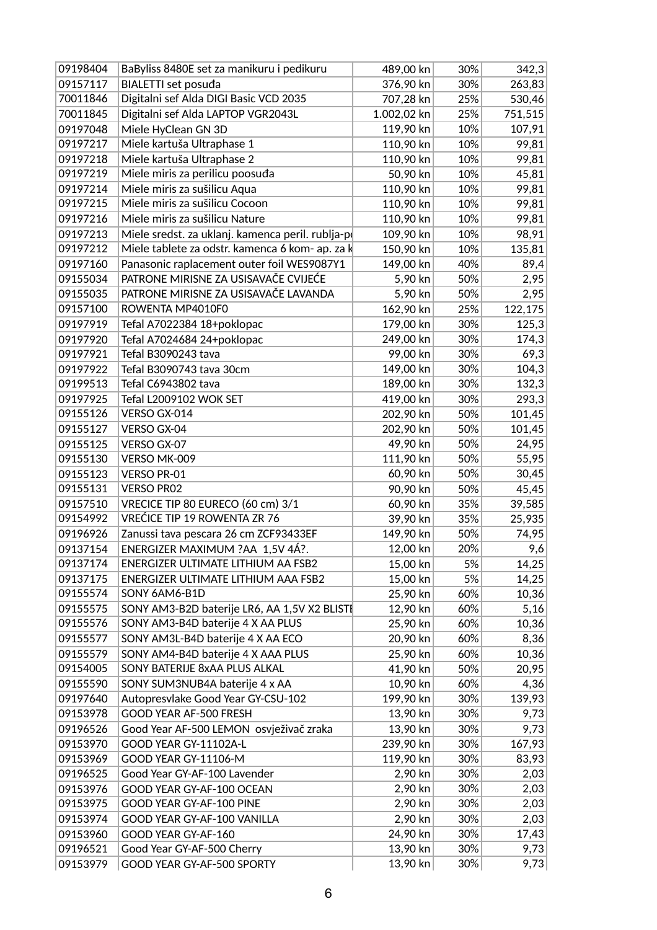| 09198404 | BaByliss 8480E set za manikuru i pedikuru        | 489,00 kn   | 30% | 342,3   |
|----------|--------------------------------------------------|-------------|-----|---------|
| 09157117 | <b>BIALETTI</b> set posuda                       | 376,90 kn   | 30% | 263,83  |
| 70011846 | Digitalni sef Alda DIGI Basic VCD 2035           | 707,28 kn   | 25% | 530,46  |
| 70011845 | Digitalni sef Alda LAPTOP VGR2043L               | 1.002,02 kn | 25% | 751,515 |
| 09197048 | Miele HyClean GN 3D                              | 119,90 kn   | 10% | 107,91  |
| 09197217 | Miele kartuša Ultraphase 1                       | 110,90 kn   | 10% | 99,81   |
| 09197218 | Miele kartuša Ultraphase 2                       | 110,90 kn   | 10% | 99,81   |
| 09197219 | Miele miris za perilicu poosuđa                  | 50,90 kn    | 10% | 45,81   |
| 09197214 | Miele miris za sušilicu Aqua                     | 110,90 kn   | 10% | 99,81   |
| 09197215 | Miele miris za sušilicu Cocoon                   | 110,90 kn   | 10% | 99,81   |
| 09197216 | Miele miris za sušilicu Nature                   | 110,90 kn   | 10% | 99,81   |
| 09197213 | Miele sredst. za uklanj. kamenca peril. rublja-p | 109,90 kn   | 10% | 98,91   |
| 09197212 | Miele tablete za odstr. kamenca 6 kom- ap. za k  | 150,90 kn   | 10% | 135,81  |
| 09197160 | Panasonic raplacement outer foil WES9087Y1       | 149,00 kn   | 40% | 89,4    |
| 09155034 | PATRONE MIRISNE ZA USISAVAČE CVIJEĆE             | 5,90 kn     | 50% | 2,95    |
| 09155035 | PATRONE MIRISNE ZA USISAVAČE LAVANDA             | 5,90 kn     | 50% | 2,95    |
| 09157100 | ROWENTA MP4010F0                                 | 162,90 kn   | 25% | 122,175 |
| 09197919 | Tefal A7022384 18+poklopac                       | 179,00 kn   | 30% | 125,3   |
| 09197920 | Tefal A7024684 24+poklopac                       | 249,00 kn   | 30% | 174,3   |
| 09197921 | Tefal B3090243 tava                              | 99,00 kn    | 30% | 69,3    |
| 09197922 | Tefal B3090743 tava 30cm                         | 149,00 kn   | 30% | 104,3   |
| 09199513 | Tefal C6943802 tava                              | 189,00 kn   | 30% | 132,3   |
| 09197925 | Tefal L2009102 WOK SET                           | 419,00 kn   | 30% | 293,3   |
| 09155126 | VERSO GX-014                                     | 202,90 kn   | 50% | 101,45  |
| 09155127 | VERSO GX-04                                      | 202,90 kn   | 50% | 101,45  |
| 09155125 | VERSO GX-07                                      | 49,90 kn    | 50% | 24,95   |
| 09155130 | VERSO MK-009                                     | 111,90 kn   | 50% | 55,95   |
| 09155123 | VERSO PR-01                                      | 60,90 kn    | 50% | 30,45   |
| 09155131 | <b>VERSO PR02</b>                                | 90,90 kn    | 50% | 45,45   |
| 09157510 | VRECICE TIP 80 EURECO (60 cm) 3/1                | 60,90 kn    | 35% | 39,585  |
| 09154992 | <b>VRECICE TIP 19 ROWENTA ZR 76</b>              | 39,90 kn    | 35% | 25,935  |
| 09196926 | Zanussi tava pescara 26 cm ZCF93433EF            | 149,90 kn   | 50% | 74,95   |
| 09137154 | ENERGIZER MAXIMUM ?AA 1,5V 4Á?.                  | 12,00 kn    | 20% | 9,6     |
| 09137174 | ENERGIZER ULTIMATE LITHIUM AA FSB2               | 15,00 kn    | 5%  | 14,25   |
| 09137175 | ENERGIZER ULTIMATE LITHIUM AAA FSB2              | 15,00 kn    | 5%  | 14,25   |
| 09155574 | SONY 6AM6-B1D                                    | 25,90 kn    | 60% | 10,36   |
| 09155575 | SONY AM3-B2D baterije LR6, AA 1,5V X2 BLISTI     | 12,90 kn    | 60% | 5,16    |
| 09155576 | SONY AM3-B4D baterije 4 X AA PLUS                | 25,90 kn    | 60% | 10,36   |
| 09155577 | SONY AM3L-B4D baterije 4 X AA ECO                | 20,90 kn    | 60% | 8,36    |
| 09155579 | SONY AM4-B4D baterije 4 X AAA PLUS               | 25,90 kn    | 60% | 10,36   |
| 09154005 | SONY BATERIJE 8xAA PLUS ALKAL                    | 41,90 kn    | 50% | 20,95   |
| 09155590 | SONY SUM3NUB4A baterije 4 x AA                   | 10,90 kn    | 60% | 4,36    |
| 09197640 | Autopresvlake Good Year GY-CSU-102               | 199,90 kn   | 30% | 139,93  |
| 09153978 | GOOD YEAR AF-500 FRESH                           | 13,90 kn    | 30% | 9,73    |
| 09196526 | Good Year AF-500 LEMON osvježivač zraka          | 13,90 kn    | 30% | 9,73    |
| 09153970 | GOOD YEAR GY-11102A-L                            | 239,90 kn   | 30% | 167,93  |
| 09153969 | GOOD YEAR GY-11106-M                             | 119,90 kn   | 30% | 83,93   |
| 09196525 | Good Year GY-AF-100 Lavender                     | 2,90 kn     | 30% | 2,03    |
| 09153976 | GOOD YEAR GY-AF-100 OCEAN                        | 2,90 kn     | 30% | 2,03    |
| 09153975 | GOOD YEAR GY-AF-100 PINE                         | 2,90 kn     | 30% | 2,03    |
| 09153974 | GOOD YEAR GY-AF-100 VANILLA                      | 2,90 kn     | 30% | 2,03    |
| 09153960 | GOOD YEAR GY-AF-160                              | 24,90 kn    | 30% | 17,43   |
| 09196521 | Good Year GY-AF-500 Cherry                       | 13,90 kn    | 30% | 9,73    |
| 09153979 | GOOD YEAR GY-AF-500 SPORTY                       | 13,90 kn    | 30% | 9,73    |